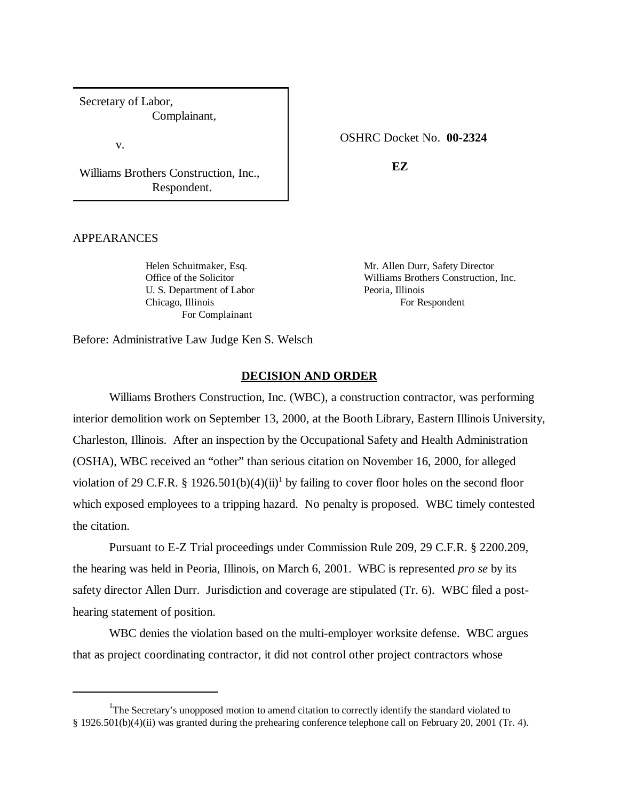Secretary of Labor, Complainant,

v.

Williams Brothers Construction, Inc., Respondent.

# OSHRC Docket No. **00-2324**

**EZ**

## APPEARANCES

U. S. Department of Labor Peoria, Illinois Chicago, Illinois For Respondent For Complainant

Helen Schuitmaker, Esq. Mr. Allen Durr, Safety Director Office of the Solicitor Williams Brothers Construction, Inc.

Before: Administrative Law Judge Ken S. Welsch

## **DECISION AND ORDER**

Williams Brothers Construction, Inc. (WBC), a construction contractor, was performing interior demolition work on September 13, 2000, at the Booth Library, Eastern Illinois University, Charleston, Illinois. After an inspection by the Occupational Safety and Health Administration (OSHA), WBC received an "other" than serious citation on November 16, 2000, for alleged violation of 29 C.F.R. § 1926.501(b)(4)(ii)<sup>1</sup> by failing to cover floor holes on the second floor which exposed employees to a tripping hazard. No penalty is proposed. WBC timely contested the citation.

Pursuant to E-Z Trial proceedings under Commission Rule 209, 29 C.F.R. § 2200.209, the hearing was held in Peoria, Illinois, on March 6, 2001. WBC is represented *pro se* by its safety director Allen Durr. Jurisdiction and coverage are stipulated (Tr. 6). WBC filed a posthearing statement of position.

WBC denies the violation based on the multi-employer worksite defense. WBC argues that as project coordinating contractor, it did not control other project contractors whose

<sup>&</sup>lt;sup>1</sup>The Secretary's unopposed motion to amend citation to correctly identify the standard violated to § 1926.501(b)(4)(ii) was granted during the prehearing conference telephone call on February 20, 2001 (Tr. 4).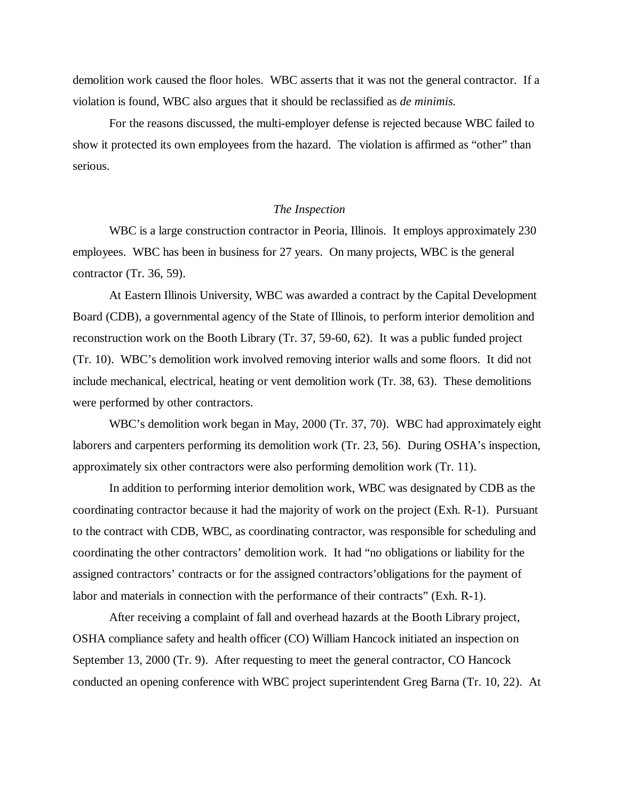demolition work caused the floor holes. WBC asserts that it was not the general contractor. If a violation is found, WBC also argues that it should be reclassified as *de minimis.*

For the reasons discussed, the multi-employer defense is rejected because WBC failed to show it protected its own employees from the hazard. The violation is affirmed as "other" than serious.

### *The Inspection*

WBC is a large construction contractor in Peoria, Illinois. It employs approximately 230 employees. WBC has been in business for 27 years. On many projects, WBC is the general contractor (Tr. 36, 59).

At Eastern Illinois University, WBC was awarded a contract by the Capital Development Board (CDB), a governmental agency of the State of Illinois, to perform interior demolition and reconstruction work on the Booth Library (Tr. 37, 59-60, 62). It was a public funded project (Tr. 10). WBC's demolition work involved removing interior walls and some floors. It did not include mechanical, electrical, heating or vent demolition work (Tr. 38, 63). These demolitions were performed by other contractors.

WBC's demolition work began in May, 2000 (Tr. 37, 70). WBC had approximately eight laborers and carpenters performing its demolition work (Tr. 23, 56). During OSHA's inspection, approximately six other contractors were also performing demolition work (Tr. 11).

In addition to performing interior demolition work, WBC was designated by CDB as the coordinating contractor because it had the majority of work on the project (Exh. R-1). Pursuant to the contract with CDB, WBC, as coordinating contractor, was responsible for scheduling and coordinating the other contractors' demolition work. It had "no obligations or liability for the assigned contractors' contracts or for the assigned contractors' obligations for the payment of labor and materials in connection with the performance of their contracts" (Exh. R-1).

After receiving a complaint of fall and overhead hazards at the Booth Library project, OSHA compliance safety and health officer (CO) William Hancock initiated an inspection on September 13, 2000 (Tr. 9). After requesting to meet the general contractor, CO Hancock conducted an opening conference with WBC project superintendent Greg Barna (Tr. 10, 22). At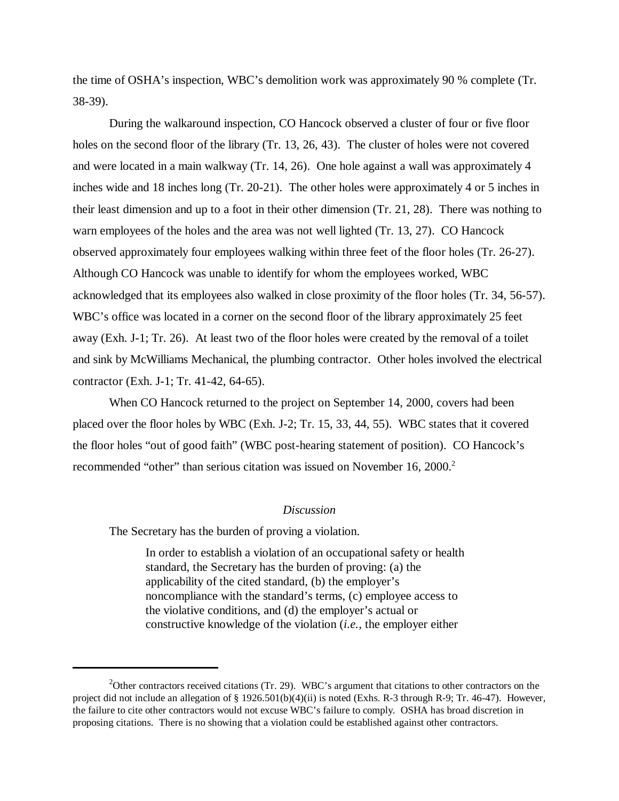the time of OSHA's inspection, WBC's demolition work was approximately 90 % complete (Tr. 38-39).

During the walkaround inspection, CO Hancock observed a cluster of four or five floor holes on the second floor of the library (Tr. 13, 26, 43). The cluster of holes were not covered and were located in a main walkway (Tr. 14, 26). One hole against a wall was approximately 4 inches wide and 18 inches long (Tr. 20-21). The other holes were approximately 4 or 5 inches in their least dimension and up to a foot in their other dimension (Tr. 21, 28). There was nothing to warn employees of the holes and the area was not well lighted (Tr. 13, 27). CO Hancock observed approximately four employees walking within three feet of the floor holes (Tr. 26-27). Although CO Hancock was unable to identify for whom the employees worked, WBC acknowledged that its employees also walked in close proximity of the floor holes (Tr. 34, 56-57). WBC's office was located in a corner on the second floor of the library approximately 25 feet away (Exh. J-1; Tr. 26). At least two of the floor holes were created by the removal of a toilet and sink by McWilliams Mechanical, the plumbing contractor. Other holes involved the electrical contractor (Exh. J-1; Tr. 41-42, 64-65).

When CO Hancock returned to the project on September 14, 2000, covers had been placed over the floor holes by WBC (Exh. J-2; Tr. 15, 33, 44, 55). WBC states that it covered the floor holes "out of good faith" (WBC post-hearing statement of position). CO Hancock's recommended "other" than serious citation was issued on November 16, 2000.<sup>2</sup>

#### *Discussion*

The Secretary has the burden of proving a violation.

In order to establish a violation of an occupational safety or health standard, the Secretary has the burden of proving: (a) the applicability of the cited standard, (b) the employer's noncompliance with the standard's terms, (c) employee access to the violative conditions, and (d) the employer's actual or constructive knowledge of the violation (*i.e.,* the employer either

<sup>&</sup>lt;sup>2</sup>Other contractors received citations (Tr. 29). WBC's argument that citations to other contractors on the project did not include an allegation of § 1926.501(b)(4)(ii) is noted (Exhs. R-3 through R-9; Tr. 46-47). However, the failure to cite other contractors would not excuse WBC's failure to comply. OSHA has broad discretion in proposing citations. There is no showing that a violation could be established against other contractors.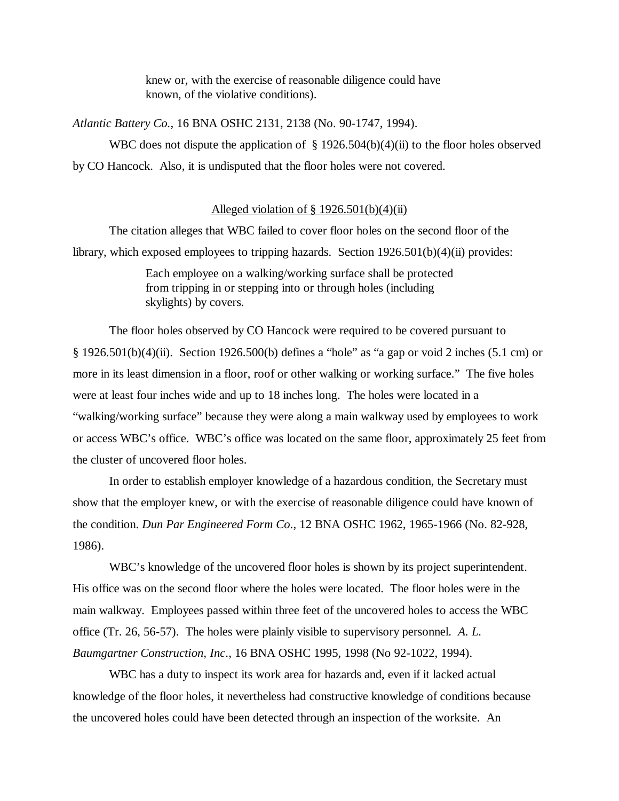knew or, with the exercise of reasonable diligence could have known, of the violative conditions).

*Atlantic Battery Co.,* 16 BNA OSHC 2131, 2138 (No. 90-1747, 1994).

WBC does not dispute the application of  $\S$  1926.504(b)(4)(ii) to the floor holes observed by CO Hancock. Also, it is undisputed that the floor holes were not covered.

# Alleged violation of  $\S$  1926.501(b)(4)(ii)

The citation alleges that WBC failed to cover floor holes on the second floor of the library, which exposed employees to tripping hazards. Section 1926.501(b)(4)(ii) provides:

> Each employee on a walking/working surface shall be protected from tripping in or stepping into or through holes (including skylights) by covers.

The floor holes observed by CO Hancock were required to be covered pursuant to  $\S$  1926.501(b)(4)(ii). Section 1926.500(b) defines a "hole" as "a gap or void 2 inches (5.1 cm) or more in its least dimension in a floor, roof or other walking or working surface." The five holes were at least four inches wide and up to 18 inches long. The holes were located in a "walking/working surface" because they were along a main walkway used by employees to work or access WBC's office. WBC's office was located on the same floor, approximately 25 feet from the cluster of uncovered floor holes.

In order to establish employer knowledge of a hazardous condition, the Secretary must show that the employer knew, or with the exercise of reasonable diligence could have known of the condition. *Dun Par Engineered Form Co*., 12 BNA OSHC 1962, 1965-1966 (No. 82-928, 1986).

WBC's knowledge of the uncovered floor holes is shown by its project superintendent. His office was on the second floor where the holes were located. The floor holes were in the main walkway. Employees passed within three feet of the uncovered holes to access the WBC office (Tr. 26, 56-57). The holes were plainly visible to supervisory personnel. *A. L. Baumgartner Construction, Inc*., 16 BNA OSHC 1995, 1998 (No 92-1022, 1994).

WBC has a duty to inspect its work area for hazards and, even if it lacked actual knowledge of the floor holes, it nevertheless had constructive knowledge of conditions because the uncovered holes could have been detected through an inspection of the worksite. An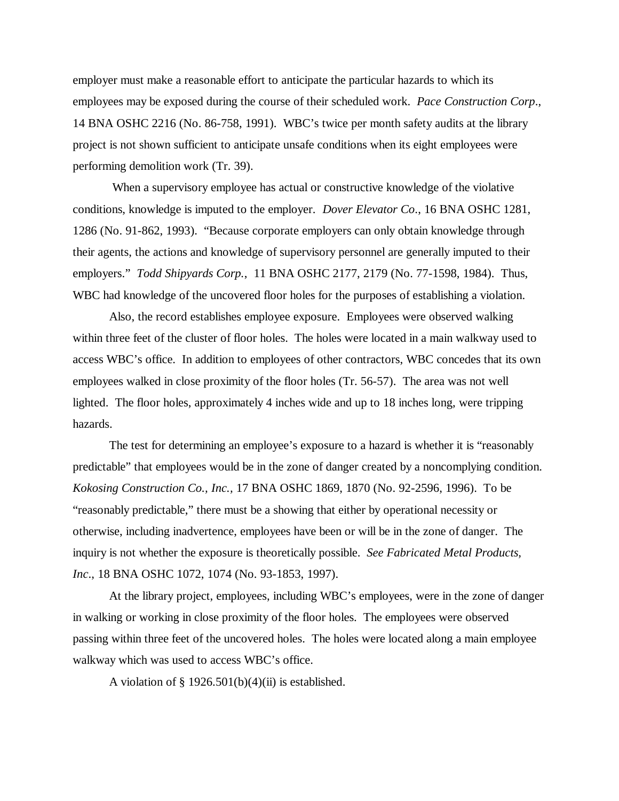employer must make a reasonable effort to anticipate the particular hazards to which its employees may be exposed during the course of their scheduled work. *Pace Construction Corp*., 14 BNA OSHC 2216 (No. 86-758, 1991). WBC's twice per month safety audits at the library project is not shown sufficient to anticipate unsafe conditions when its eight employees were performing demolition work (Tr. 39).

 When a supervisory employee has actual or constructive knowledge of the violative conditions, knowledge is imputed to the employer. *Dover Elevator Co*., 16 BNA OSHC 1281, 1286 (No. 91-862, 1993). "Because corporate employers can only obtain knowledge through their agents, the actions and knowledge of supervisory personnel are generally imputed to their employers." *Todd Shipyards Corp.*, 11 BNA OSHC 2177, 2179 (No. 77-1598, 1984). Thus, WBC had knowledge of the uncovered floor holes for the purposes of establishing a violation.

Also, the record establishes employee exposure. Employees were observed walking within three feet of the cluster of floor holes. The holes were located in a main walkway used to access WBC's office. In addition to employees of other contractors, WBC concedes that its own employees walked in close proximity of the floor holes (Tr. 56-57). The area was not well lighted. The floor holes, approximately 4 inches wide and up to 18 inches long, were tripping hazards.

The test for determining an employee's exposure to a hazard is whether it is "reasonably predictable" that employees would be in the zone of danger created by a noncomplying condition. *Kokosing Construction Co., Inc.,* 17 BNA OSHC 1869, 1870 (No. 92-2596, 1996). To be "reasonably predictable," there must be a showing that either by operational necessity or otherwise, including inadvertence, employees have been or will be in the zone of danger. The inquiry is not whether the exposure is theoretically possible. *See Fabricated Metal Products, Inc*., 18 BNA OSHC 1072, 1074 (No. 93-1853, 1997).

At the library project, employees, including WBC's employees, were in the zone of danger in walking or working in close proximity of the floor holes. The employees were observed passing within three feet of the uncovered holes. The holes were located along a main employee walkway which was used to access WBC's office.

A violation of § 1926.501(b)(4)(ii) is established.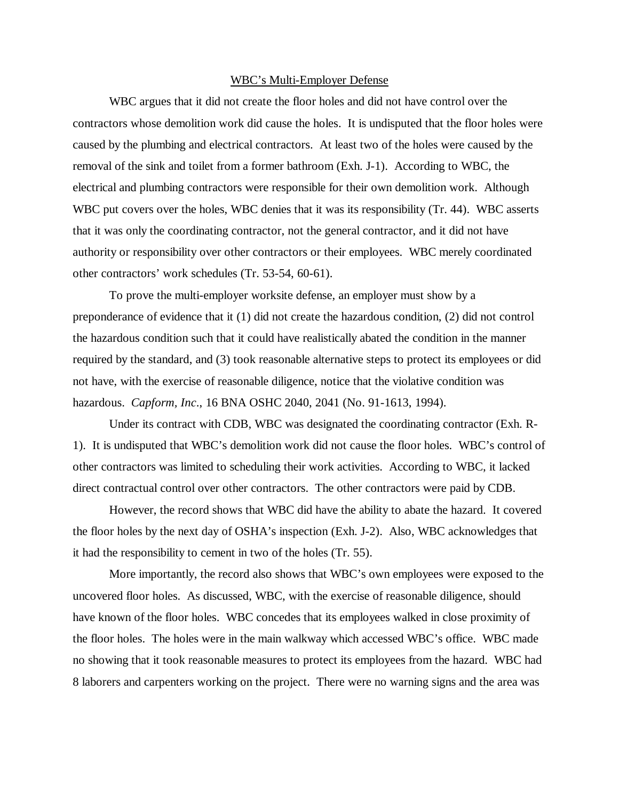#### WBC's Multi-Employer Defense

WBC argues that it did not create the floor holes and did not have control over the contractors whose demolition work did cause the holes. It is undisputed that the floor holes were caused by the plumbing and electrical contractors. At least two of the holes were caused by the removal of the sink and toilet from a former bathroom (Exh. J-1). According to WBC, the electrical and plumbing contractors were responsible for their own demolition work. Although WBC put covers over the holes, WBC denies that it was its responsibility (Tr. 44). WBC asserts that it was only the coordinating contractor, not the general contractor, and it did not have authority or responsibility over other contractors or their employees. WBC merely coordinated other contractors' work schedules (Tr. 53-54, 60-61).

To prove the multi-employer worksite defense, an employer must show by a preponderance of evidence that it (1) did not create the hazardous condition, (2) did not control the hazardous condition such that it could have realistically abated the condition in the manner required by the standard, and (3) took reasonable alternative steps to protect its employees or did not have, with the exercise of reasonable diligence, notice that the violative condition was hazardous. *Capform, Inc*., 16 BNA OSHC 2040, 2041 (No. 91-1613, 1994).

Under its contract with CDB, WBC was designated the coordinating contractor (Exh. R-1). It is undisputed that WBC's demolition work did not cause the floor holes. WBC's control of other contractors was limited to scheduling their work activities. According to WBC, it lacked direct contractual control over other contractors. The other contractors were paid by CDB.

However, the record shows that WBC did have the ability to abate the hazard. It covered the floor holes by the next day of OSHA's inspection (Exh. J-2). Also, WBC acknowledges that it had the responsibility to cement in two of the holes (Tr. 55).

More importantly, the record also shows that WBC's own employees were exposed to the uncovered floor holes. As discussed, WBC, with the exercise of reasonable diligence, should have known of the floor holes. WBC concedes that its employees walked in close proximity of the floor holes. The holes were in the main walkway which accessed WBC's office. WBC made no showing that it took reasonable measures to protect its employees from the hazard. WBC had 8 laborers and carpenters working on the project. There were no warning signs and the area was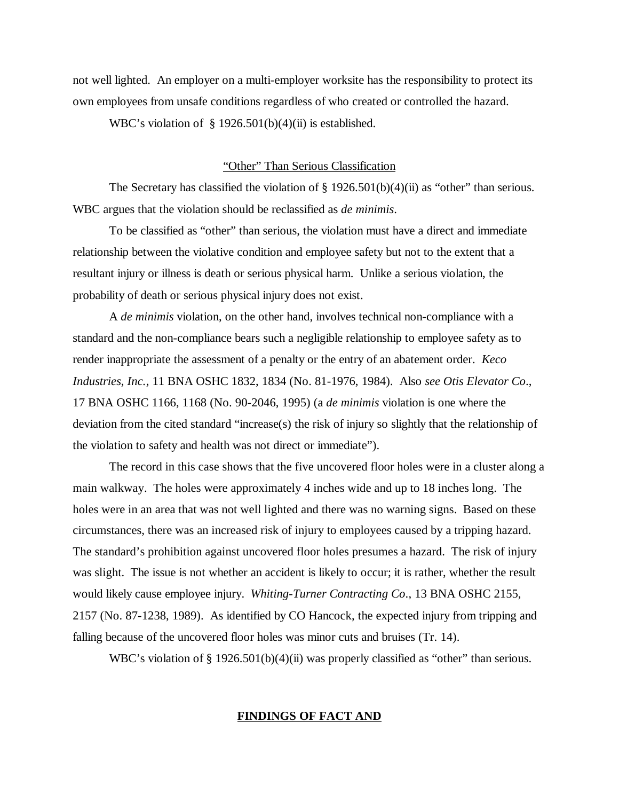not well lighted. An employer on a multi-employer worksite has the responsibility to protect its own employees from unsafe conditions regardless of who created or controlled the hazard.

WBC's violation of  $\S$  1926.501(b)(4)(ii) is established.

# "Other" Than Serious Classification

The Secretary has classified the violation of  $\S 1926.501(b)(4)(ii)$  as "other" than serious. WBC argues that the violation should be reclassified as *de minimis*.

To be classified as "other" than serious, the violation must have a direct and immediate relationship between the violative condition and employee safety but not to the extent that a resultant injury or illness is death or serious physical harm. Unlike a serious violation, the probability of death or serious physical injury does not exist.

A *de minimis* violation, on the other hand, involves technical non-compliance with a standard and the non-compliance bears such a negligible relationship to employee safety as to render inappropriate the assessment of a penalty or the entry of an abatement order. *Keco Industries, Inc.,* 11 BNA OSHC 1832, 1834 (No. 81-1976, 1984). Also *see Otis Elevator Co*., 17 BNA OSHC 1166, 1168 (No. 90-2046, 1995) (a *de minimis* violation is one where the deviation from the cited standard "increase(s) the risk of injury so slightly that the relationship of the violation to safety and health was not direct or immediate").

The record in this case shows that the five uncovered floor holes were in a cluster along a main walkway. The holes were approximately 4 inches wide and up to 18 inches long. The holes were in an area that was not well lighted and there was no warning signs. Based on these circumstances, there was an increased risk of injury to employees caused by a tripping hazard. The standard's prohibition against uncovered floor holes presumes a hazard. The risk of injury was slight. The issue is not whether an accident is likely to occur; it is rather, whether the result would likely cause employee injury. *Whiting-Turner Contracting Co*., 13 BNA OSHC 2155, 2157 (No. 87-1238, 1989). As identified by CO Hancock, the expected injury from tripping and falling because of the uncovered floor holes was minor cuts and bruises (Tr. 14).

WBC's violation of § 1926.501(b)(4)(ii) was properly classified as "other" than serious.

## **FINDINGS OF FACT AND**